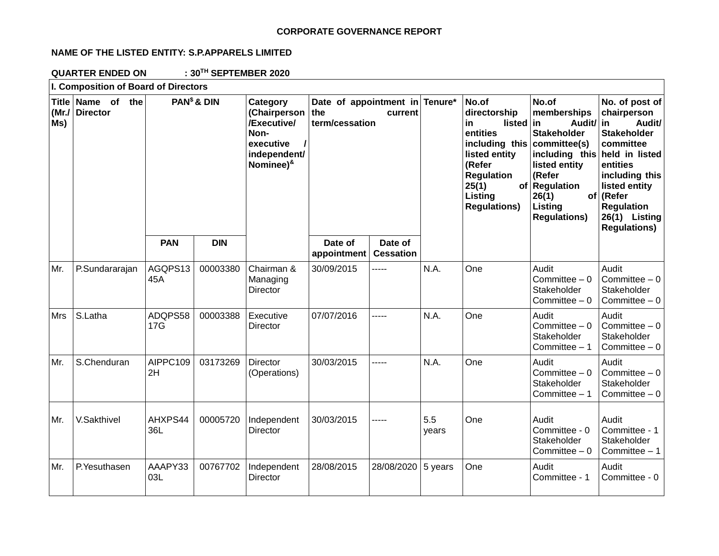### **CORPORATE GOVERNANCE REPORT**

## **NAME OF THE LISTED ENTITY: S.P.APPARELS LIMITED**

**QUARTER ENDED ON : 30TH SEPTEMBER 2020**

| I. Composition of Board of Directors |                                      |                         |            |                                                                                                           |                                                         |                             |              |                                                                                                                                                                                    |                                                                                                                                                                                                     |                                                                                                                                                                                                     |
|--------------------------------------|--------------------------------------|-------------------------|------------|-----------------------------------------------------------------------------------------------------------|---------------------------------------------------------|-----------------------------|--------------|------------------------------------------------------------------------------------------------------------------------------------------------------------------------------------|-----------------------------------------------------------------------------------------------------------------------------------------------------------------------------------------------------|-----------------------------------------------------------------------------------------------------------------------------------------------------------------------------------------------------|
| (MrJ)<br>Ms)                         | Title Name of the<br><b>Director</b> | PAN <sup>\$</sup> & DIN |            | Category<br>(Chairperson<br>/Executive/<br>Non-<br>executive<br>independent/<br>Nominee) <sup>&amp;</sup> | Date of appointment in Tenure*<br>the<br>term/cessation | current                     |              | No.of<br>directorship<br>in.<br>listed<br>entities<br>including this<br>listed entity<br>(Refer<br><b>Regulation</b><br>25(1)<br>of <sub>1</sub><br>Listing<br><b>Regulations)</b> | No.of<br>memberships<br>Audit/ in<br>in.<br><b>Stakeholder</b><br>committee(s)<br>including this held in listed<br>listed entity<br>(Refer<br>Regulation<br>26(1)<br>Listing<br><b>Regulations)</b> | No. of post of<br>chairperson<br>Audit/<br><b>Stakeholder</b><br>committee<br>entities<br>including this<br>listed entity<br>of (Refer<br><b>Regulation</b><br>26(1) Listing<br><b>Regulations)</b> |
|                                      |                                      | <b>PAN</b>              | <b>DIN</b> |                                                                                                           | Date of<br>appointment                                  | Date of<br><b>Cessation</b> |              |                                                                                                                                                                                    |                                                                                                                                                                                                     |                                                                                                                                                                                                     |
| Mr.                                  | P.Sundararajan                       | AGQPS13<br>45A          | 00003380   | Chairman &<br>Managing<br><b>Director</b>                                                                 | 30/09/2015                                              | -----                       | N.A.         | One                                                                                                                                                                                | Audit<br>Committee $-0$<br>Stakeholder<br>Committee $-0$                                                                                                                                            | Audit<br>Committee $-0$<br>Stakeholder<br>Committee $-0$                                                                                                                                            |
| <b>Mrs</b>                           | S.Latha                              | ADQPS58<br>17G          | 00003388   | Executive<br><b>Director</b>                                                                              | 07/07/2016                                              | -----                       | N.A.         | One                                                                                                                                                                                | Audit<br>Committee $-0$<br>Stakeholder<br>Committee $-1$                                                                                                                                            | Audit<br>Committee $-0$<br>Stakeholder<br>Committee $-0$                                                                                                                                            |
| Mr.                                  | S.Chenduran                          | AIPPC109<br>2H          | 03173269   | Director<br>(Operations)                                                                                  | 30/03/2015                                              | -----                       | N.A.         | One                                                                                                                                                                                | Audit<br>Committee $-0$<br>Stakeholder<br>Committee $-1$                                                                                                                                            | Audit<br>Committee $-0$<br>Stakeholder<br>Committee $-0$                                                                                                                                            |
| Mr.                                  | V.Sakthivel                          | AHXPS44<br>36L          | 00005720   | Independent<br>Director                                                                                   | 30/03/2015                                              | -----                       | 5.5<br>years | One                                                                                                                                                                                | Audit<br>Committee - 0<br>Stakeholder<br>Committee $-0$                                                                                                                                             | Audit<br>Committee - 1<br>Stakeholder<br>Committee $-1$                                                                                                                                             |
| Mr.                                  | P.Yesuthasen                         | AAAPY33<br>03L          | 00767702   | Independent<br>Director                                                                                   | 28/08/2015                                              | 28/08/2020                  | 5 years      | One                                                                                                                                                                                | Audit<br>Committee - 1                                                                                                                                                                              | Audit<br>Committee - 0                                                                                                                                                                              |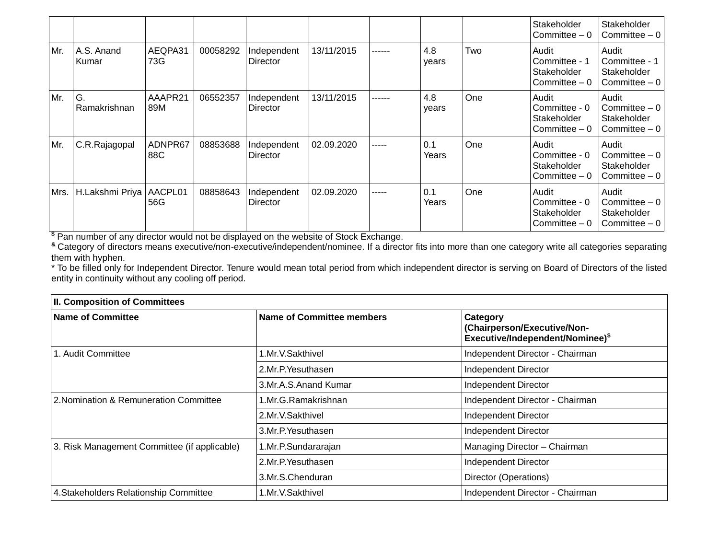|      |                     |                |          |                         |            |        |              |     | Stakeholder<br>Committee $-0$                           | Stakeholder<br>Committee $-0$                            |
|------|---------------------|----------------|----------|-------------------------|------------|--------|--------------|-----|---------------------------------------------------------|----------------------------------------------------------|
| Mr.  | A.S. Anand<br>Kumar | AEQPA31<br>73G | 00058292 | Independent<br>Director | 13/11/2015 | ------ | 4.8<br>years | Two | Audit<br>Committee - 1<br>Stakeholder<br>Committee $-0$ | Audit<br>Committee - 1<br>Stakeholder<br>Committee $-0$  |
| Mr.  | G.<br>Ramakrishnan  | AAAPR21<br>89M | 06552357 | Independent<br>Director | 13/11/2015 | ------ | 4.8<br>years | One | Audit<br>Committee - 0<br>Stakeholder<br>Committee $-0$ | Audit<br>Committee $-0$<br>Stakeholder<br>Committee $-0$ |
| Mr.  | C.R.Rajagopal       | ADNPR67<br>88C | 08853688 | Independent<br>Director | 02.09.2020 | -----  | 0.1<br>Years | One | Audit<br>Committee - 0<br>Stakeholder<br>Committee $-0$ | Audit<br>Committee $-0$<br>Stakeholder<br>Committee $-0$ |
| Mrs. | H.Lakshmi Priya     | AACPL01<br>56G | 08858643 | Independent<br>Director | 02.09.2020 | -----  | 0.1<br>Years | One | Audit<br>Committee - 0<br>Stakeholder<br>Committee $-0$ | Audit<br>Committee $-0$<br>Stakeholder<br>Committee $-0$ |

**\$** Pan number of any director would not be displayed on the website of Stock Exchange.

**&** Category of directors means executive/non-executive/independent/nominee. If a director fits into more than one category write all categories separating them with hyphen.

\* To be filled only for Independent Director. Tenure would mean total period from which independent director is serving on Board of Directors of the listed entity in continuity without any cooling off period.

| <b>II. Composition of Committees</b>         |                           |                                                                             |  |  |  |
|----------------------------------------------|---------------------------|-----------------------------------------------------------------------------|--|--|--|
| <b>Name of Committee</b>                     | Name of Committee members | Category<br>(Chairperson/Executive/Non-<br>Executive/Independent/Nominee)\$ |  |  |  |
| 1. Audit Committee                           | 1.Mr.V.Sakthivel          | Independent Director - Chairman                                             |  |  |  |
|                                              | 2.Mr.P. Yesuthasen        | Independent Director                                                        |  |  |  |
|                                              | 3.Mr.A.S.Anand Kumar      | Independent Director                                                        |  |  |  |
| 2. Nomination & Remuneration Committee       | 1.Mr.G.Ramakrishnan       | Independent Director - Chairman                                             |  |  |  |
|                                              | 2.Mr.V.Sakthivel          | <b>Independent Director</b>                                                 |  |  |  |
|                                              | 3.Mr.P. Yesuthasen        | <b>Independent Director</b>                                                 |  |  |  |
| 3. Risk Management Committee (if applicable) | 1.Mr.P.Sundararajan       | Managing Director - Chairman                                                |  |  |  |
|                                              | 2.Mr.P. Yesuthasen        | Independent Director                                                        |  |  |  |
|                                              | 3.Mr.S.Chenduran          | Director (Operations)                                                       |  |  |  |
| 4. Stakeholders Relationship Committee       | 1.Mr.V.Sakthivel          | Independent Director - Chairman                                             |  |  |  |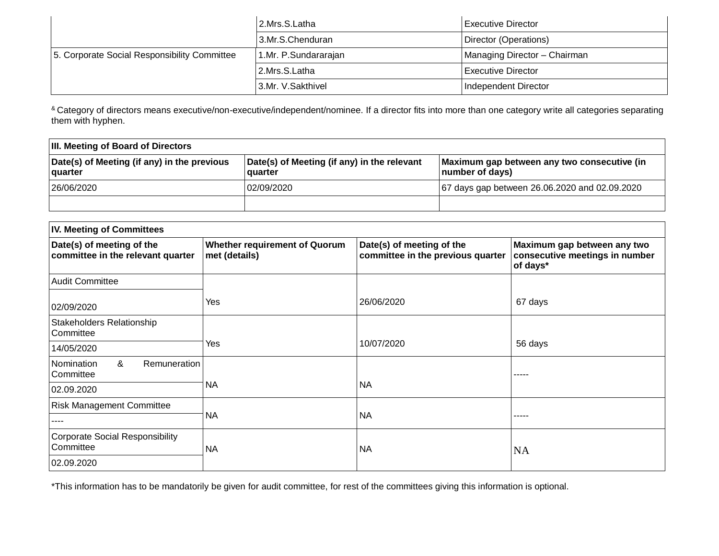|                                              | 2.Mrs.S.Latha<br>Executive Director |                              |
|----------------------------------------------|-------------------------------------|------------------------------|
|                                              | 3.Mr.S.Chenduran                    | Director (Operations)        |
| 5. Corporate Social Responsibility Committee | 1.Mr. P.Sundararajan                | Managing Director - Chairman |
|                                              | 2.Mrs.S.Latha                       | Executive Director           |
|                                              | 3.Mr. V.Sakthivel                   | Independent Director         |

<sup>&</sup> Category of directors means executive/non-executive/independent/nominee. If a director fits into more than one category write all categories separating them with hyphen.

| <b>III. Meeting of Board of Directors</b>                     |                                                        |                                                                |  |  |  |  |
|---------------------------------------------------------------|--------------------------------------------------------|----------------------------------------------------------------|--|--|--|--|
| Date(s) of Meeting (if any) in the previous<br><b>quarter</b> | Date(s) of Meeting (if any) in the relevant<br>quarter | Maximum gap between any two consecutive (in<br>number of days) |  |  |  |  |
| 26/06/2020                                                    | 02/09/2020                                             | 67 days gap between 26.06.2020 and 02.09.2020                  |  |  |  |  |
|                                                               |                                                        |                                                                |  |  |  |  |

| <b>IV. Meeting of Committees</b>                               |                                                       |                                                                |                                                                           |  |  |  |  |
|----------------------------------------------------------------|-------------------------------------------------------|----------------------------------------------------------------|---------------------------------------------------------------------------|--|--|--|--|
| Date(s) of meeting of the<br>committee in the relevant quarter | <b>Whether requirement of Quorum</b><br>met (details) | Date(s) of meeting of the<br>committee in the previous quarter | Maximum gap between any two<br>consecutive meetings in number<br>of days* |  |  |  |  |
| <b>Audit Committee</b>                                         |                                                       |                                                                |                                                                           |  |  |  |  |
| 02/09/2020                                                     | Yes                                                   | 26/06/2020                                                     | 67 days                                                                   |  |  |  |  |
| Stakeholders Relationship<br>Committee                         |                                                       |                                                                |                                                                           |  |  |  |  |
| 14/05/2020                                                     | Yes                                                   | 10/07/2020                                                     | 56 days                                                                   |  |  |  |  |
| &<br>Remuneration<br>Nomination<br>Committee                   |                                                       |                                                                | ----                                                                      |  |  |  |  |
| 02.09.2020                                                     | <b>NA</b>                                             | <b>NA</b>                                                      |                                                                           |  |  |  |  |
| <b>Risk Management Committee</b>                               |                                                       |                                                                |                                                                           |  |  |  |  |
|                                                                | <b>NA</b>                                             | <b>NA</b>                                                      | -----                                                                     |  |  |  |  |
| <b>Corporate Social Responsibility</b><br>Committee            | <b>NA</b>                                             | <b>NA</b>                                                      | <b>NA</b>                                                                 |  |  |  |  |
| 02.09.2020                                                     |                                                       |                                                                |                                                                           |  |  |  |  |

\*This information has to be mandatorily be given for audit committee, for rest of the committees giving this information is optional.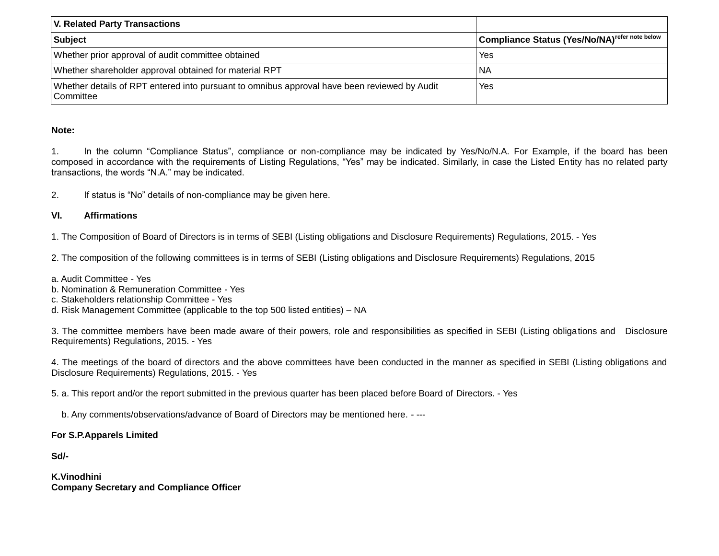| <b>V. Related Party Transactions</b>                                                                      |                                                           |  |  |  |  |
|-----------------------------------------------------------------------------------------------------------|-----------------------------------------------------------|--|--|--|--|
| <b>Subject</b>                                                                                            | Compliance Status (Yes/No/NA) <sup>refer note below</sup> |  |  |  |  |
| Whether prior approval of audit committee obtained                                                        | Yes                                                       |  |  |  |  |
| Whether shareholder approval obtained for material RPT                                                    | NA                                                        |  |  |  |  |
| Whether details of RPT entered into pursuant to omnibus approval have been reviewed by Audit<br>Committee | Yes                                                       |  |  |  |  |

#### **Note:**

1. In the column "Compliance Status", compliance or non-compliance may be indicated by Yes/No/N.A. For Example, if the board has been composed in accordance with the requirements of Listing Regulations, "Yes" may be indicated. Similarly, in case the Listed Entity has no related party transactions, the words "N.A." may be indicated.

2. If status is "No" details of non-compliance may be given here.

#### **VI. Affirmations**

1. The Composition of Board of Directors is in terms of SEBI (Listing obligations and Disclosure Requirements) Regulations, 2015. - Yes

2. The composition of the following committees is in terms of SEBI (Listing obligations and Disclosure Requirements) Regulations, 2015

- a. Audit Committee Yes
- b. Nomination & Remuneration Committee Yes
- c. Stakeholders relationship Committee Yes

d. Risk Management Committee (applicable to the top 500 listed entities) – NA

3. The committee members have been made aware of their powers, role and responsibilities as specified in SEBI (Listing obligations and Disclosure Requirements) Regulations, 2015. - Yes

4. The meetings of the board of directors and the above committees have been conducted in the manner as specified in SEBI (Listing obligations and Disclosure Requirements) Regulations, 2015. - Yes

5. a. This report and/or the report submitted in the previous quarter has been placed before Board of Directors. - Yes

b. Any comments/observations/advance of Board of Directors may be mentioned here. - ---

#### **For S.P.Apparels Limited**

#### **Sd/-**

**K.Vinodhini Company Secretary and Compliance Officer**